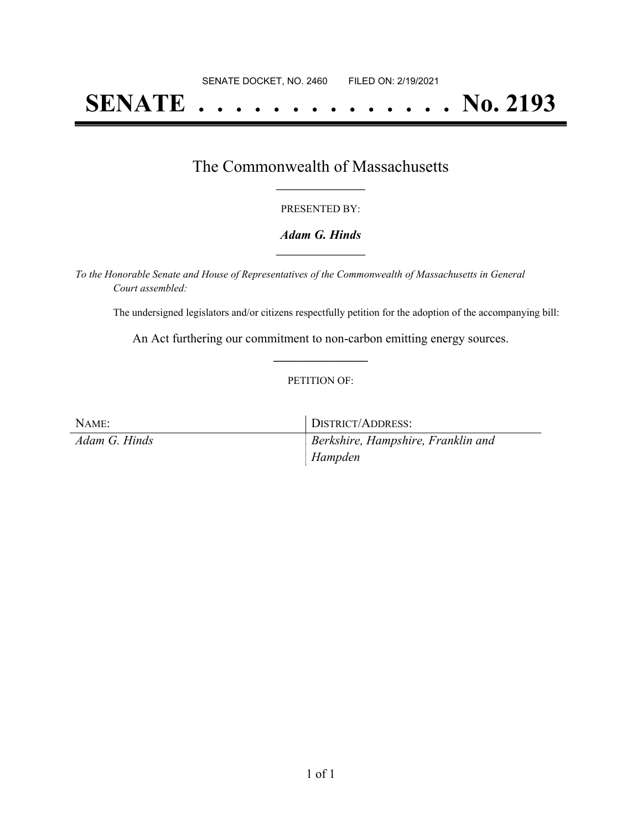# **SENATE . . . . . . . . . . . . . . No. 2193**

### The Commonwealth of Massachusetts **\_\_\_\_\_\_\_\_\_\_\_\_\_\_\_\_\_**

#### PRESENTED BY:

#### *Adam G. Hinds* **\_\_\_\_\_\_\_\_\_\_\_\_\_\_\_\_\_**

*To the Honorable Senate and House of Representatives of the Commonwealth of Massachusetts in General Court assembled:*

The undersigned legislators and/or citizens respectfully petition for the adoption of the accompanying bill:

An Act furthering our commitment to non-carbon emitting energy sources. **\_\_\_\_\_\_\_\_\_\_\_\_\_\_\_**

#### PETITION OF:

| NAME:         | DISTRICT/ADDRESS:                  |
|---------------|------------------------------------|
| Adam G. Hinds | Berkshire, Hampshire, Franklin and |
|               | Hampden                            |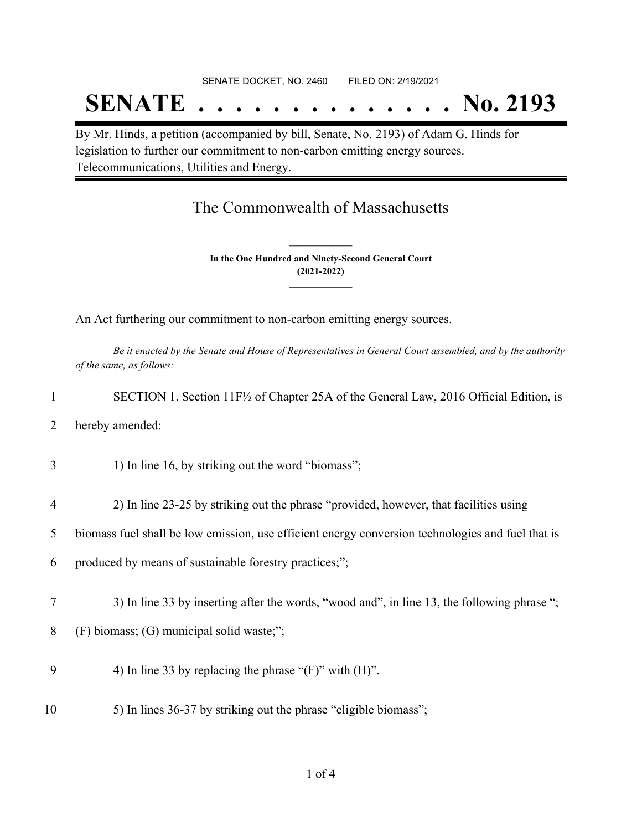## SENATE DOCKET, NO. 2460 FILED ON: 2/19/2021

## **SENATE . . . . . . . . . . . . . . No. 2193**

By Mr. Hinds, a petition (accompanied by bill, Senate, No. 2193) of Adam G. Hinds for legislation to further our commitment to non-carbon emitting energy sources. Telecommunications, Utilities and Energy.

## The Commonwealth of Massachusetts

**In the One Hundred and Ninety-Second General Court (2021-2022) \_\_\_\_\_\_\_\_\_\_\_\_\_\_\_**

**\_\_\_\_\_\_\_\_\_\_\_\_\_\_\_**

An Act furthering our commitment to non-carbon emitting energy sources.

Be it enacted by the Senate and House of Representatives in General Court assembled, and by the authority *of the same, as follows:*

|                | SECTION 1. Section $11F\frac{1}{2}$ of Chapter 25A of the General Law, 2016 Official Edition, is  |
|----------------|---------------------------------------------------------------------------------------------------|
| $\overline{2}$ | hereby amended:                                                                                   |
| 3              | 1) In line 16, by striking out the word "biomass";                                                |
| $\overline{4}$ | 2) In line 23-25 by striking out the phrase "provided, however, that facilities using             |
| 5              | biomass fuel shall be low emission, use efficient energy conversion technologies and fuel that is |

- 6 produced by means of sustainable forestry practices;";
- 7 3) In line 33 by inserting after the words, "wood and", in line 13, the following phrase ";
- 8 (F) biomass; (G) municipal solid waste;";
- 9 4) In line 33 by replacing the phrase " $(F)$ " with  $(H)$ ".
- 10 5) In lines 36-37 by striking out the phrase "eligible biomass";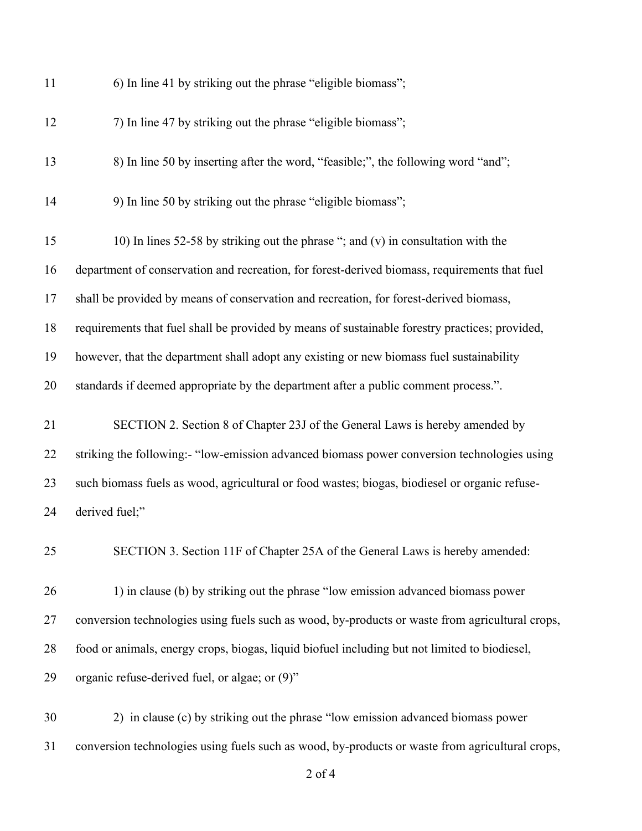| 11 | 6) In line 41 by striking out the phrase "eligible biomass";                                    |
|----|-------------------------------------------------------------------------------------------------|
| 12 | 7) In line 47 by striking out the phrase "eligible biomass";                                    |
| 13 | 8) In line 50 by inserting after the word, "feasible;", the following word "and";               |
| 14 | 9) In line 50 by striking out the phrase "eligible biomass";                                    |
| 15 | 10) In lines 52-58 by striking out the phrase "; and (v) in consultation with the               |
| 16 | department of conservation and recreation, for forest-derived biomass, requirements that fuel   |
| 17 | shall be provided by means of conservation and recreation, for forest-derived biomass,          |
| 18 | requirements that fuel shall be provided by means of sustainable forestry practices; provided,  |
| 19 | however, that the department shall adopt any existing or new biomass fuel sustainability        |
| 20 | standards if deemed appropriate by the department after a public comment process.".             |
| 21 | SECTION 2. Section 8 of Chapter 23J of the General Laws is hereby amended by                    |
| 22 | striking the following:- "low-emission advanced biomass power conversion technologies using     |
| 23 | such biomass fuels as wood, agricultural or food wastes; biogas, biodiesel or organic refuse-   |
| 24 | derived fuel;"                                                                                  |
| 25 | SECTION 3. Section 11F of Chapter 25A of the General Laws is hereby amended:                    |
| 26 | 1) in clause (b) by striking out the phrase "low emission advanced biomass power                |
| 27 | conversion technologies using fuels such as wood, by-products or waste from agricultural crops, |
| 28 | food or animals, energy crops, biogas, liquid biofuel including but not limited to biodiesel,   |
| 29 | organic refuse-derived fuel, or algae; or (9)"                                                  |
| 30 | 2) in clause (c) by striking out the phrase "low emission advanced biomass power                |
| 31 | conversion technologies using fuels such as wood, by-products or waste from agricultural crops, |

of 4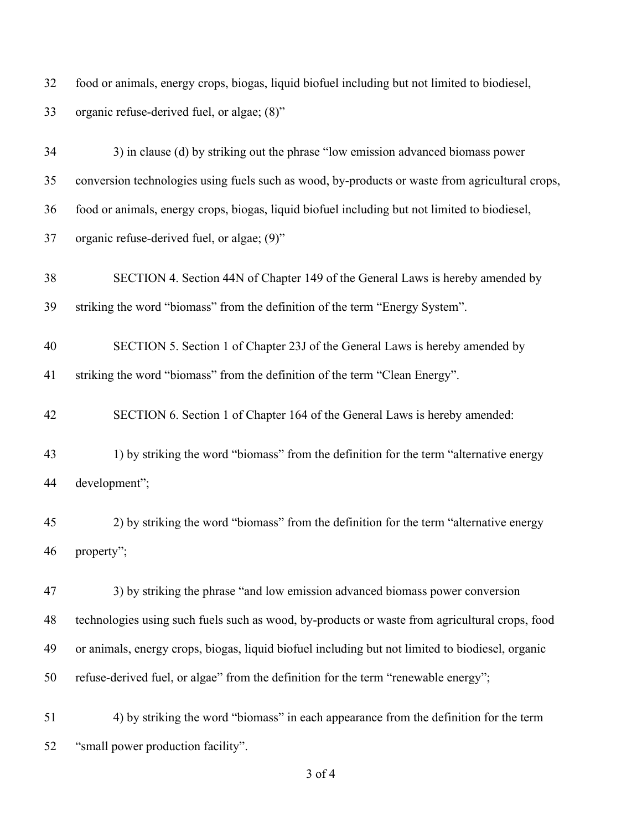| 32 | food or animals, energy crops, biogas, liquid biofuel including but not limited to biodiesel,    |
|----|--------------------------------------------------------------------------------------------------|
| 33 | organic refuse-derived fuel, or algae; (8)"                                                      |
| 34 | 3) in clause (d) by striking out the phrase "low emission advanced biomass power                 |
| 35 | conversion technologies using fuels such as wood, by-products or waste from agricultural crops,  |
| 36 | food or animals, energy crops, biogas, liquid biofuel including but not limited to biodiesel,    |
| 37 | organic refuse-derived fuel, or algae; (9)"                                                      |
| 38 | SECTION 4. Section 44N of Chapter 149 of the General Laws is hereby amended by                   |
| 39 | striking the word "biomass" from the definition of the term "Energy System".                     |
| 40 | SECTION 5. Section 1 of Chapter 23J of the General Laws is hereby amended by                     |
| 41 | striking the word "biomass" from the definition of the term "Clean Energy".                      |
| 42 | SECTION 6. Section 1 of Chapter 164 of the General Laws is hereby amended:                       |
| 43 | 1) by striking the word "biomass" from the definition for the term "alternative energy           |
| 44 | development";                                                                                    |
| 45 | 2) by striking the word "biomass" from the definition for the term "alternative energy           |
| 46 | property";                                                                                       |
| 47 | 3) by striking the phrase "and low emission advanced biomass power conversion                    |
| 48 | technologies using such fuels such as wood, by-products or waste from agricultural crops, food   |
| 49 | or animals, energy crops, biogas, liquid biofuel including but not limited to biodiesel, organic |
| 50 | refuse-derived fuel, or algae" from the definition for the term "renewable energy";              |
| 51 | 4) by striking the word "biomass" in each appearance from the definition for the term            |
| 52 | "small power production facility".                                                               |

of 4